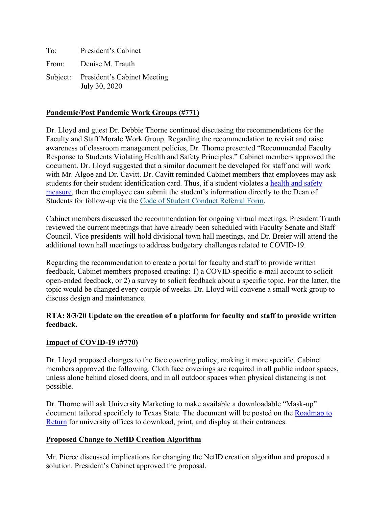To: President's Cabinet From: Denise M. Trauth Subject: President's Cabinet Meeting July 30, 2020

### **Pandemic/Post Pandemic Work Groups (#771)**

Dr. Lloyd and guest Dr. Debbie Thorne continued discussing the recommendations for the Faculty and Staff Morale Work Group. Regarding the recommendation to revisit and raise awareness of classroom management policies, Dr. Thorne presented "Recommended Faculty Response to Students Violating Health and Safety Principles." Cabinet members approved the document. Dr. Lloyd suggested that a similar document be developed for staff and will work with Mr. Algoe and Dr. Cavitt. Dr. Cavitt reminded Cabinet members that employees may ask students for their student identification card. Thus, if a student violates a [health and safety](https://www.txstate.edu/coronavirus/road-map/health-and-safety-measures.html)  [measure,](https://www.txstate.edu/coronavirus/road-map/health-and-safety-measures.html) then the employee can submit the student's information directly to the Dean of Students for follow-up via the [Code of Student Conduct Referral Form.](https://www.dos.txstate.edu/services/sccs.html)

Cabinet members discussed the recommendation for ongoing virtual meetings. President Trauth reviewed the current meetings that have already been scheduled with Faculty Senate and Staff Council. Vice presidents will hold divisional town hall meetings, and Dr. Breier will attend the additional town hall meetings to address budgetary challenges related to COVID-19.

Regarding the recommendation to create a portal for faculty and staff to provide written feedback, Cabinet members proposed creating: 1) a COVID-specific e-mail account to solicit open-ended feedback, or 2) a survey to solicit feedback about a specific topic. For the latter, the topic would be changed every couple of weeks. Dr. Lloyd will convene a small work group to discuss design and maintenance.

#### **RTA: 8/3/20 Update on the creation of a platform for faculty and staff to provide written feedback.**

#### **Impact of COVID-19 (#770)**

Dr. Lloyd proposed changes to the face covering policy, making it more specific. Cabinet members approved the following: Cloth face coverings are required in all public indoor spaces, unless alone behind closed doors, and in all outdoor spaces when physical distancing is not possible.

Dr. Thorne will ask University Marketing to make available a downloadable "Mask-up" document tailored specificly to Texas State. The document will be posted on the [Roadmap to](https://www.txstate.edu/coronavirus/road-map.html)  [Return](https://www.txstate.edu/coronavirus/road-map.html) for university offices to download, print, and display at their entrances.

#### **Proposed Change to NetID Creation Algorithm**

Mr. Pierce discussed implications for changing the NetID creation algorithm and proposed a solution. President's Cabinet approved the proposal.